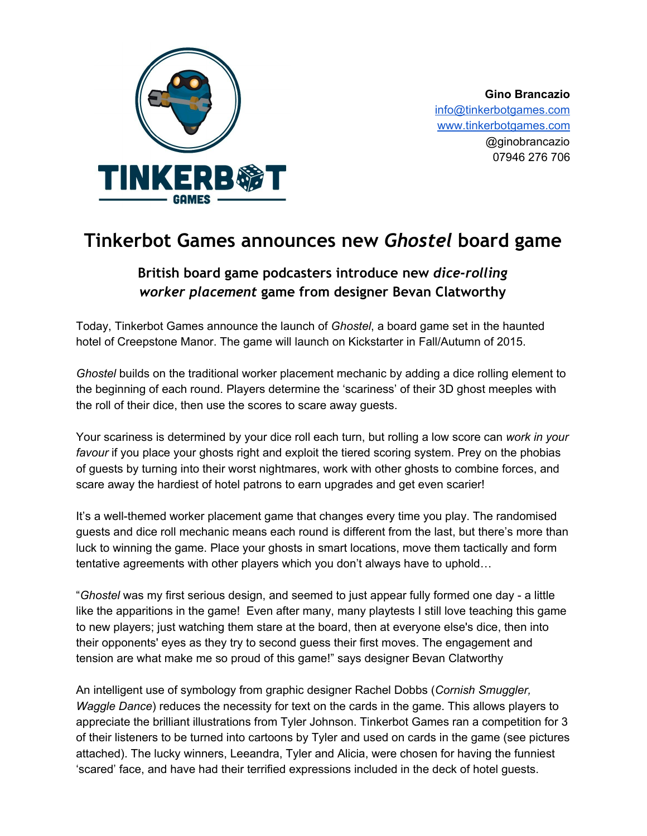

**Gino Brancazio** [info@tinkerbotgames.com](mailto:info@tinkerbotgames.com) [www.tinkerbotgames.com](http://www.tinkerbotgames.com/) @ginobrancazio 07946 276 706

## **Tinkerbot Games announces new** *Ghostel***board game**

## **British board game podcasters introduce new** *dice-rolling worker placement***game from designer Bevan Clatworthy**

Today, Tinkerbot Games announce the launch of *Ghostel*, a board game set in the haunted hotel of Creepstone Manor. The game will launch on Kickstarter in Fall/Autumn of 2015.

*Ghostel* builds on the traditional worker placement mechanic by adding a dice rolling element to the beginning of each round. Players determine the 'scariness' of their 3D ghost meeples with the roll of their dice, then use the scores to scare away guests.

Your scariness is determined by your dice roll each turn, but rolling a low score can *work in your favour* if you place your ghosts right and exploit the tiered scoring system. Prey on the phobias of guests by turning into their worst nightmares, work with other ghosts to combine forces, and scare away the hardiest of hotel patrons to earn upgrades and get even scarier!

It's a well-themed worker placement game that changes every time you play. The randomised guests and dice roll mechanic means each round is different from the last, but there's more than luck to winning the game. Place your ghosts in smart locations, move them tactically and form tentative agreements with other players which you don't always have to uphold…

"*Ghostel* was my first serious design, and seemed to just appear fully formed one day - a little like the apparitions in the game! Even after many, many playtests I still love teaching this game to new players; just watching them stare at the board, then at everyone else's dice, then into their opponents' eyes as they try to second guess their first moves. The engagement and tension are what make me so proud of this game!" says designer Bevan Clatworthy

An intelligent use of symbology from graphic designer Rachel Dobbs (*Cornish Smuggler, Waggle Dance*) reduces the necessity for text on the cards in the game. This allows players to appreciate the brilliant illustrations from Tyler Johnson. Tinkerbot Games ran a competition for 3 of their listeners to be turned into cartoons by Tyler and used on cards in the game (see pictures attached). The lucky winners, Leeandra, Tyler and Alicia, were chosen for having the funniest 'scared' face, and have had their terrified expressions included in the deck of hotel guests.